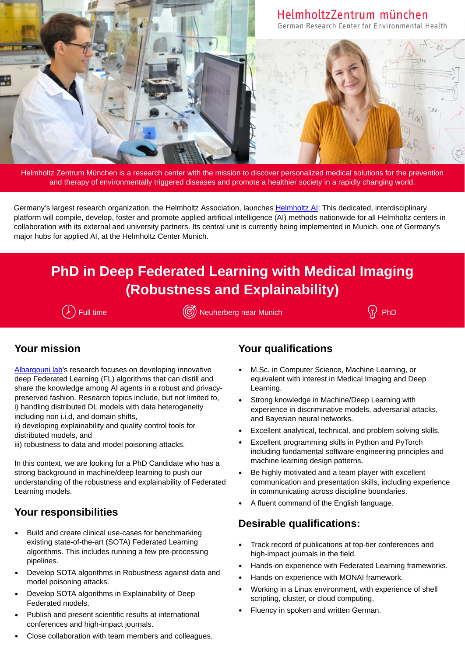

Helmholtz Zentrum München is a research center with the mission to discover personalized medical solutions for the prevention and therapy of environmentally triggered diseases and promote a healthier society in a rapidly changing world.

Germany's largest research organization, the Helmholtz Association, launches Helmholtz AI: This dedicated, interdisciplinary platform will compile, develop, foster and promote applied artificial intelligence (AI) methods nationwide for all Helmholtz centers in collaboration with its external and university partners. Its central unit is currently being implemented in Munich, one of Germany's major hubs for applied AI, at the Helmholtz Center Munich.

# **PhD in Deep Federated Learning with Medical Imaging (Robustness and Explainability)**

 $(\lambda)$  Full time  $(\%)$  Neuherberg near Munich  $(\lambda)$  PhD

# **Your mission**

[Albarqouni](https://www.helmholtz.ai/themenmenue/our-research/research-groups/albarqouni-group/index.html) lab's research focuses on developing innovative deep Federated Learning (FL) algorithms that can distill and share the knowledge among AI agents in a robust and privacypreserved fashion. Research topics include, but not limited to, i) handling distributed DL models with data heterogeneity including non i.i.d, and domain shifts,

ii) developing explainability and quality control tools for distributed models, and

iii) robustness to data and model poisoning attacks.

In this context, we are looking for a PhD Candidate who has a strong background in machine/deep learning to push our understanding of the robustness and explainability of Federated Learning models.

## **Your responsibilities**

- Build and create clinical use-cases for benchmarking existing state-of-the-art (SOTA) Federated Learning algorithms. This includes running a few pre-processing pipelines.
- Develop SOTA algorithms in Robustness against data and model poisoning attacks.
- Develop SOTA algorithms in Explainability of Deep Federated models.
- Publish and present scientific results at international conferences and high-impact journals.
- Close collaboration with team members and colleagues.

# **Your qualifications**

- M.Sc. in Computer Science, Machine Learning, or equivalent with interest in Medical Imaging and Deep Learning.
- Strong knowledge in Machine/Deep Learning with experience in discriminative models, adversarial attacks, and Bayesian neural networks.
- Excellent analytical, technical, and problem solving skills.
- Excellent programming skills in Python and PyTorch including fundamental software engineering principles and machine learning design patterns.
- Be highly motivated and a team player with excellent communication and presentation skills, including experience in communicating across discipline boundaries.
- A fluent command of the English language.

## **Desirable qualifications:**

- Track record of publications at top-tier conferences and high-impact journals in the field.
- Hands-on experience with Federated Learning frameworks.
- Hands-on experience with MONAI framework.
- Working in a Linux environment, with experience of shell scripting, cluster, or cloud computing.
- Fluency in spoken and written German.